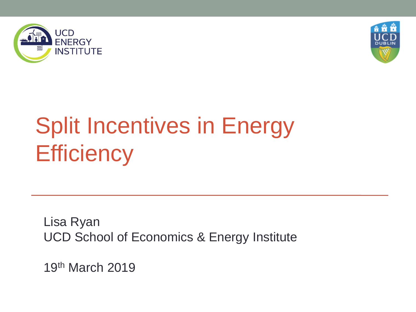



# Split Incentives in Energy **Efficiency**

Lisa Ryan UCD School of Economics & Energy Institute

19th March 2019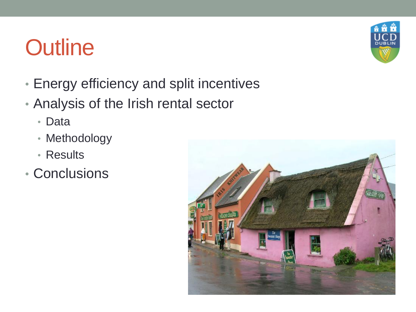## **Outline**

- Energy efficiency and split incentives
- Analysis of the Irish rental sector
	- Data
	- Methodology
	- Results
- Conclusions



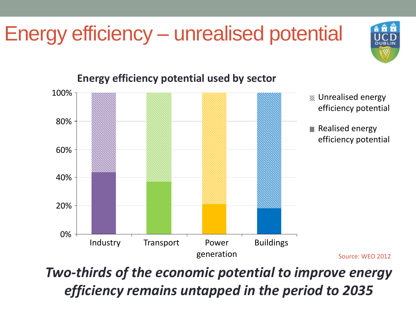#### Energy efficiency – unrealised potential





#### **Energy efficiency potential used by sector**

*Two-thirds of the economic potential to improve energy efficiency remains untapped in the period to 2035*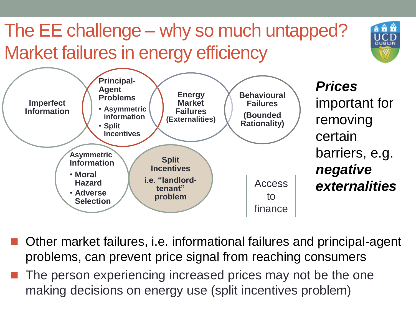#### The EE challenge – why so much untapped? Market failures in energy efficiency

DURLI



- Other market failures, i.e. informational failures and principal-agent problems, can prevent price signal from reaching consumers
- $\blacksquare$  The person experiencing increased prices may not be the one making decisions on energy use (split incentives problem)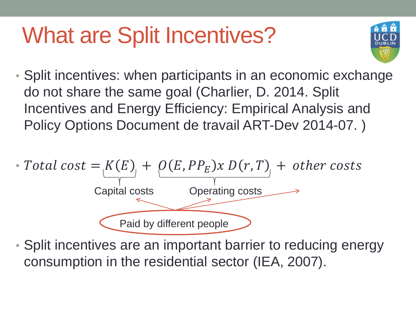### What are Split Incentives?



• Split incentives: when participants in an economic exchange do not share the same goal (Charlier, D. 2014. Split Incentives and Energy Efficiency: Empirical Analysis and Policy Options Document de travail ART-Dev 2014-07. )



• Split incentives are an important barrier to reducing energy consumption in the residential sector (IEA, 2007).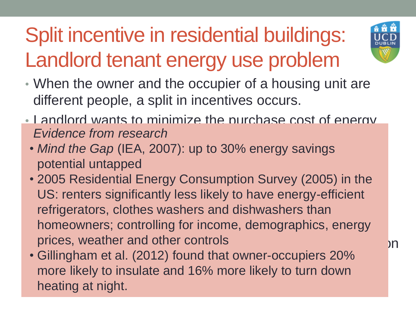#### Split incentive in residential buildings: Landlord tenant energy use problem



- When the owner and the occupier of a housing unit are different people, a split in incentives occurs.
- Landlord wants to minimize the purchase cost of energy **Evidence from research and has no return on his no return on his no return on his no return on his contract on his contract on his contract on his contract on his contract on his contract on his contract on his contract o** 
	- *Mind the Gap* (IEA, 2007): up to 30% energy savings potential untapped
- 2005 Residential Energy Consumption Surve US: renters significantly less likely to have energy-efficient refrigerators, clothes washers and dishwashers than homeowners; controlling for income, demographics, energy prices, weather and other controls and  $\lambda$  prices, weather and other controls • 2005 Residential Energy Consumption Survey (2005) in the
- Gillingham et al. (2012) found that owner-occupiers 20% First more interferent and to *i* more interferent as a heating at night more likely to insulate and 16% more likely to turn down heating at night.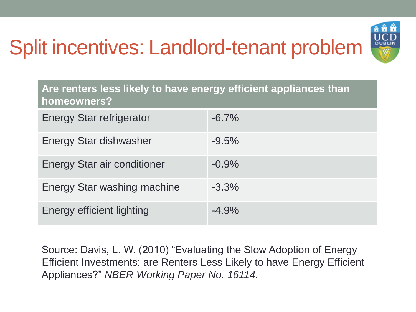#### Split incentives: Landlord-tenant problem



| Are renters less likely to have energy efficient appliances than<br>homeowners? |          |  |  |  |  |  |
|---------------------------------------------------------------------------------|----------|--|--|--|--|--|
| <b>Energy Star refrigerator</b>                                                 | $-6.7\%$ |  |  |  |  |  |
| Energy Star dishwasher                                                          | $-9.5%$  |  |  |  |  |  |
| <b>Energy Star air conditioner</b>                                              | $-0.9%$  |  |  |  |  |  |
| <b>Energy Star washing machine</b>                                              | $-3.3%$  |  |  |  |  |  |
| Energy efficient lighting                                                       | $-4.9%$  |  |  |  |  |  |

Source: Davis, L. W. (2010) "Evaluating the Slow Adoption of Energy Efficient Investments: are Renters Less Likely to have Energy Efficient Appliances?" *NBER Working Paper No. 16114.*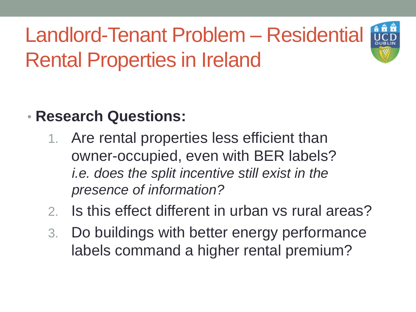

#### • **Research Questions:**

- 1. Are rental properties less efficient than owner-occupied, even with BER labels? *i.e. does the split incentive still exist in the presence of information?*
- 2. Is this effect different in urban vs rural areas?
- 3. Do buildings with better energy performance labels command a higher rental premium?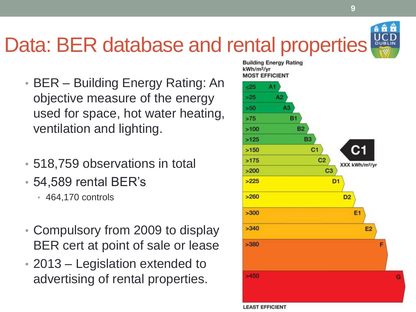

**9**

#### Data: BER database and rental properties

- BER Building Energy Rating: An objective measure of the energy used for space, hot water heating, ventilation and lighting.
- 518,759 observations in total
- 54,589 rental BER's
	- 464,170 controls
- Compulsory from 2009 to display BER cert at point of sale or lease
- 2013 Legislation extended to advertising of rental properties.

**Building Energy Rating** kWh/m<sup>2</sup>/vr **MOST EFFICIENT**  $-25$  $A1$  $>25$  $A2$  $A3$  $>50$  $>75$ **B1 B2**  $>100$ **B3**  $>125$  $C<sub>1</sub>$  $>150$  $>175$  $C<sub>2</sub>$ XXX kWh/m<sup>2</sup>/yr C<sub>3</sub>  $>200$  $>225$ D<sub>1</sub>  $>260$ D<sub>2</sub> E<sub>1</sub>  $>300$  $>340$ **E2**  $>380$  $>450$ G

#### **LEAST EFFICIENT**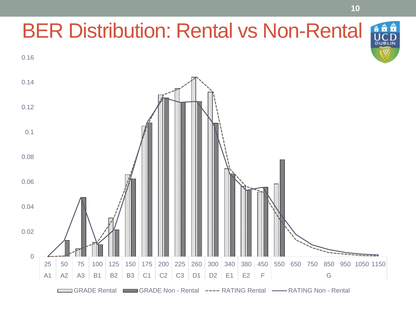#### **å å å** BER Distribution: Rental vs Non-Rental **DUBLI** 0.16 0.14 0.12 0.1 0.08 0.06 0.04 0.02 0 25 50 75 100 125 150 175 200 225 260 300 340 380 450 550 650 750 850 950 1050 1150 A1 | A2 | A3 | B1 | B2 | B3 | C1 | C2 | C3 | D1 | D2 | E1 | E2 | F | GRADE Rental GRADE Non - Rental ---- RATING Rental --- RATING Non - Rental

**10**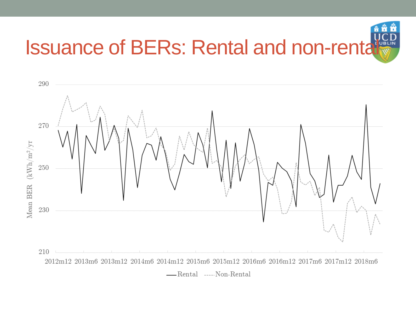

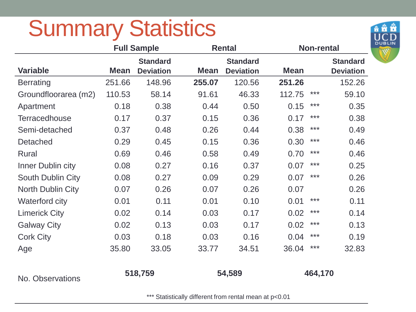## Summary Statistics



|                          |             | <b>Full Sample</b> |             | <b>Rental</b>    | <b>Non-rental</b> |         |                  |  |
|--------------------------|-------------|--------------------|-------------|------------------|-------------------|---------|------------------|--|
|                          |             | <b>Standard</b>    |             | <b>Standard</b>  |                   |         | <b>Standard</b>  |  |
| <b>Variable</b>          | <b>Mean</b> | <b>Deviation</b>   | <b>Mean</b> | <b>Deviation</b> | <b>Mean</b>       |         | <b>Deviation</b> |  |
| <b>Berrating</b>         | 251.66      | 148.96             | 255.07      | 120.56           | 251.26            |         | 152.26           |  |
| Groundfloorarea (m2)     | 110.53      | 58.14              | 91.61       | 46.33            | 112.75            | $***$   | 59.10            |  |
| Apartment                | 0.18        | 0.38               | 0.44        | 0.50             | 0.15              | $***$   | 0.35             |  |
| <b>Terracedhouse</b>     | 0.17        | 0.37               | 0.15        | 0.36             | 0.17              | $***$   | 0.38             |  |
| Semi-detached            | 0.37        | 0.48               | 0.26        | 0.44             | 0.38              | $***$   | 0.49             |  |
| Detached                 | 0.29        | 0.45               | 0.15        | 0.36             | 0.30              | $***$   | 0.46             |  |
| <b>Rural</b>             | 0.69        | 0.46               | 0.58        | 0.49             | 0.70              | $***$   | 0.46             |  |
| Inner Dublin city        | 0.08        | 0.27               | 0.16        | 0.37             | 0.07              | $***$   | 0.25             |  |
| <b>South Dublin City</b> | 0.08        | 0.27               | 0.09        | 0.29             | 0.07              | $***$   | 0.26             |  |
| North Dublin City        | 0.07        | 0.26               | 0.07        | 0.26             | 0.07              |         | 0.26             |  |
| <b>Waterford city</b>    | 0.01        | 0.11               | 0.01        | 0.10             | 0.01              | $***$   | 0.11             |  |
| <b>Limerick City</b>     | 0.02        | 0.14               | 0.03        | 0.17             | 0.02              | ***     | 0.14             |  |
| <b>Galway City</b>       | 0.02        | 0.13               | 0.03        | 0.17             | 0.02              | $***$   | 0.13             |  |
| <b>Cork City</b>         | 0.03        | 0.18               | 0.03        | 0.16             | 0.04              | $***$   | 0.19             |  |
| Age                      | 35.80       | 33.05              | 33.77       | 34.51            | 36.04             | $***$   | 32.83            |  |
| No. Observations         | 518,759     |                    |             | 54,589           |                   | 464,170 |                  |  |

\*\*\* Statistically different from rental mean at p<0.01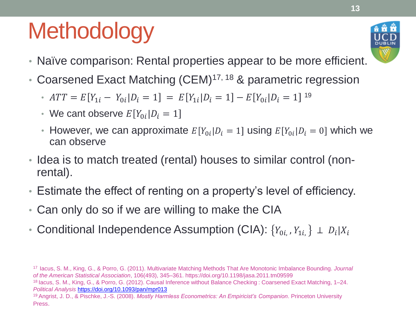## **Methodology**



- Naïve comparison: Rental properties appear to be more efficient.
- Coarsened Exact Matching (CEM)<sup>17, 18</sup> & parametric regression
	- $ATT = E[Y_{1i} Y_{0i} | D_i = 1] = E[Y_{1i} | D_i = 1] E[Y_{0i} | D_i = 1]$  19
	- We cant observe  $E[Y_{0i}|D_i = 1]$
	- However, we can approximate  $E[Y_{0i}|D_i = 1]$  using  $E[Y_{0i}|D_i = 0]$  which we can observe
- Idea is to match treated (rental) houses to similar control (nonrental).
- Estimate the effect of renting on a property's level of efficiency.
- Can only do so if we are willing to make the CIA
- Conditional Independence Assumption (CIA):  $\{Y_{0i,}, Y_{1i,}\} \perp D_i | X_i$

<sup>17</sup>Iacus, S. M., King, G., & Porro, G. (2011). Multivariate Matching Methods That Are Monotonic Imbalance Bounding. *Journal of the American Statistical Association*, 106(493), 345–361. https://doi.org/10.1198/jasa.2011.tm09599 <sup>18</sup>Iacus, S. M., King, G., & Porro, G. (2012). Causal Inference without Balance Checking : Coarsened Exact Matching, 1–24. *Political Analysis* <https://doi.org/10.1093/pan/mpr013> <sup>19</sup>Angrist, J. D., & Pischke, J.-S. (2008). *Mostly Harmless Econometrics: An Empiricist's Companion*. Princeton University Press.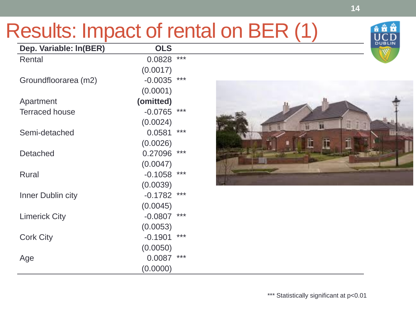#### Results: Impact of rental on BER (1)

| Dep. Variable: In(BER) | <b>OLS</b> |     |
|------------------------|------------|-----|
| Rental                 | 0.0828     | *** |
|                        | (0.0017)   |     |
| Groundfloorarea (m2)   | $-0.0035$  | *** |
|                        | (0.0001)   |     |
| Apartment              | (omitted)  |     |
| <b>Terraced house</b>  | $-0.0765$  | *** |
|                        | (0.0024)   |     |
| Semi-detached          | 0.0581     | *** |
|                        | (0.0026)   |     |
| <b>Detached</b>        | 0.27096    | *** |
|                        | (0.0047)   |     |
| <b>Rural</b>           | $-0.1058$  | *** |
|                        | (0.0039)   |     |
| Inner Dublin city      | $-0.1782$  | *** |
|                        | (0.0045)   |     |
| <b>Limerick City</b>   | $-0.0807$  | *** |
|                        | (0.0053)   |     |
| <b>Cork City</b>       | $-0.1901$  | *** |
|                        | (0.0050)   |     |
| Age                    | 0.0087     | *** |
|                        | (0.0000)   |     |



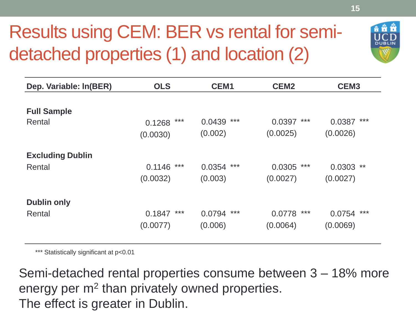#### Results using CEM: BER vs rental for semidetached properties (1) and location (2)



\*\*\* Statistically significant at p<0.01

Semi-detached rental properties consume between 3 – 18% more energy per m<sup>2</sup> than privately owned properties. The effect is greater in Dublin.

**DUBLIN**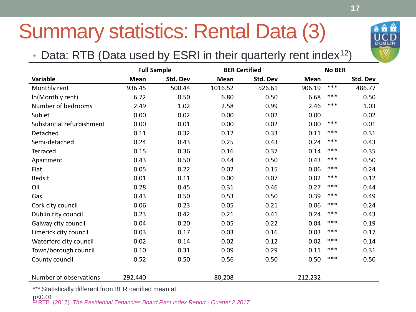#### Summary statistics: Rental Data (3)

#### • Data: RTB (Data used by ESRI in their quarterly rent index<sup>12</sup>)

|                           | <b>Full Sample</b> |          | <b>BER Certified</b> |          | <b>No BER</b> |       |          |
|---------------------------|--------------------|----------|----------------------|----------|---------------|-------|----------|
| <b>Variable</b>           | <b>Mean</b>        | Std. Dev | <b>Mean</b>          | Std. Dev | <b>Mean</b>   |       | Std. Dev |
| Monthly rent              | 936.45             | 500.44   | 1016.52              | 526.61   | 906.19        | $***$ | 486.77   |
| In(Monthly rent)          | 6.72               | 0.50     | 6.80                 | 0.50     | 6.68          | ***   | 0.50     |
| Number of bedrooms        | 2.49               | 1.02     | 2.58                 | 0.99     | 2.46          | $***$ | 1.03     |
| Sublet                    | 0.00               | 0.02     | 0.00                 | 0.02     | 0.00          |       | 0.02     |
| Substantial refurbishment | 0.00               | 0.01     | 0.00                 | 0.02     | 0.00          | $***$ | 0.01     |
| Detached                  | 0.11               | 0.32     | 0.12                 | 0.33     | 0.11          | $***$ | 0.31     |
| Semi-detached             | 0.24               | 0.43     | 0.25                 | 0.43     | 0.24          | $***$ | 0.43     |
| Terraced                  | 0.15               | 0.36     | 0.16                 | 0.37     | 0.14          | $***$ | 0.35     |
| Apartment                 | 0.43               | 0.50     | 0.44                 | 0.50     | 0.43          | ***   | 0.50     |
| Flat                      | 0.05               | 0.22     | 0.02                 | 0.15     | 0.06          | $***$ | 0.24     |
| <b>Bedsit</b>             | 0.01               | 0.11     | 0.00                 | 0.07     | 0.02          | ***   | 0.12     |
| Oil                       | 0.28               | 0.45     | 0.31                 | 0.46     | 0.27          | ***   | 0.44     |
| Gas                       | 0.43               | 0.50     | 0.53                 | 0.50     | 0.39          | $***$ | 0.49     |
| Cork city council         | 0.06               | 0.23     | 0.05                 | 0.21     | 0.06          | ***   | 0.24     |
| Dublin city council       | 0.23               | 0.42     | 0.21                 | 0.41     | 0.24          | $***$ | 0.43     |
| Galway city council       | 0.04               | 0.20     | 0.05                 | 0.22     | 0.04          | ***   | 0.19     |
| Limerick city council     | 0.03               | 0.17     | 0.03                 | 0.16     | 0.03          | $***$ | 0.17     |
| Waterford city council    | 0.02               | 0.14     | 0.02                 | 0.12     | 0.02          | ***   | 0.14     |
| Town/borough council      | 0.10               | 0.31     | 0.09                 | 0.29     | 0.11          | ***   | 0.31     |
| County council            | 0.52               | 0.50     | 0.56                 | 0.50     | 0.50          | $***$ | 0.50     |
| Number of observations    | 292,440            |          | 80,208               |          | 212,232       |       |          |
|                           |                    |          |                      |          |               |       |          |

\*\*\* Statistically different from BER certified mean at

<sup>23</sup>RTB. (2017). *The Residential Tenancies Board Rent Index Report - Quarter 2 2017.*  p<0.01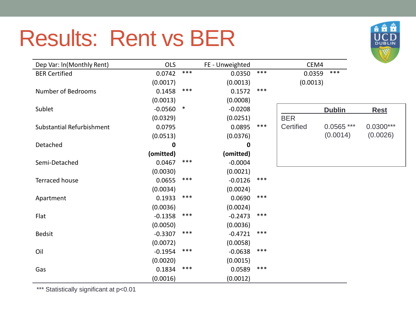#### Results: Rent vs BER



| Dep Var: In(Monthly Rent) | OLS       |        | FE - Unweighted |       | CEM4       |               |             |
|---------------------------|-----------|--------|-----------------|-------|------------|---------------|-------------|
| <b>BER Certified</b>      | 0.0742    | $***$  | 0.0350          | $***$ | 0.0359     | ***           |             |
|                           | (0.0017)  |        | (0.0013)        |       | (0.0013)   |               |             |
| <b>Number of Bedrooms</b> | 0.1458    | ***    | 0.1572          | $***$ |            |               |             |
|                           | (0.0013)  |        | (0.0008)        |       |            |               |             |
| Sublet                    | $-0.0560$ | $\ast$ | $-0.0208$       |       |            | <b>Dublin</b> | <b>Rest</b> |
|                           | (0.0329)  |        | (0.0251)        |       | <b>BER</b> |               |             |
| Substantial Refurbishment | 0.0795    |        | 0.0895          | ***   | Certified  | $0.0565$ ***  | $0.0300***$ |
|                           | (0.0513)  |        | (0.0376)        |       |            | (0.0014)      | (0.0026)    |
| Detached                  | 0         |        | 0               |       |            |               |             |
|                           | (omitted) |        | (omitted)       |       |            |               |             |
| Semi-Detached             | 0.0467    | ***    | $-0.0004$       |       |            |               |             |
|                           | (0.0030)  |        | (0.0021)        |       |            |               |             |
| Terraced house            | 0.0655    | ***    | $-0.0126$       | $***$ |            |               |             |
|                           | (0.0034)  |        | (0.0024)        |       |            |               |             |
| Apartment                 | 0.1933    | ***    | 0.0690          | $***$ |            |               |             |
|                           | (0.0036)  |        | (0.0024)        |       |            |               |             |
| Flat                      | $-0.1358$ | $***$  | $-0.2473$       | $***$ |            |               |             |
|                           | (0.0050)  |        | (0.0036)        |       |            |               |             |
| <b>Bedsit</b>             | $-0.3307$ | ***    | $-0.4721$       | $***$ |            |               |             |
|                           | (0.0072)  |        | (0.0058)        |       |            |               |             |
| Oil                       | $-0.1954$ | ***    | $-0.0638$       | $***$ |            |               |             |
|                           | (0.0020)  |        | (0.0015)        |       |            |               |             |
| Gas                       | 0.1834    | ***    | 0.0589          | $***$ |            |               |             |
|                           | (0.0016)  |        | (0.0012)        |       |            |               |             |

\*\*\* Statistically significant at p<0.01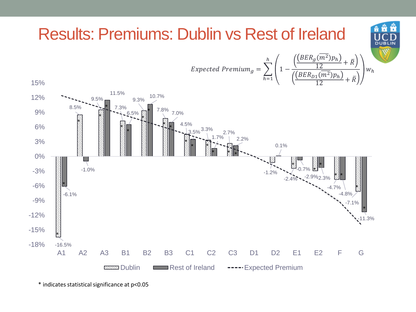

<sup>\*</sup> indicates statistical significance at p<0.05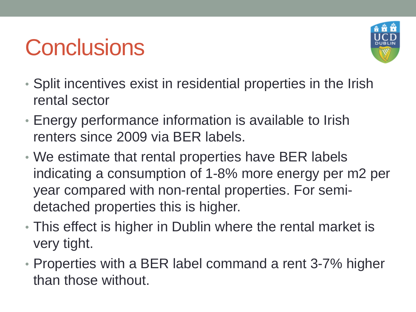## **Conclusions**



- Split incentives exist in residential properties in the Irish rental sector
- Energy performance information is available to Irish renters since 2009 via BER labels.
- We estimate that rental properties have BER labels indicating a consumption of 1-8% more energy per m2 per year compared with non-rental properties. For semidetached properties this is higher.
- This effect is higher in Dublin where the rental market is very tight.
- Properties with a BER label command a rent 3-7% higher than those without.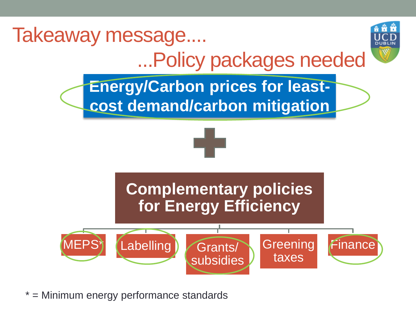

 $=$  Minimum energy performance standards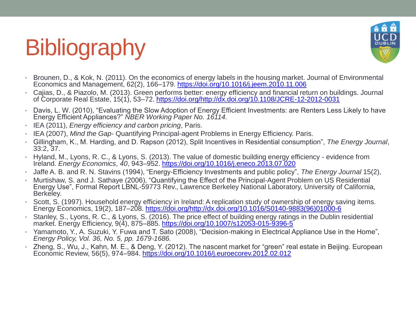# **Bibliography**



- Brounen, D., & Kok, N. (2011). On the economics of energy labels in the housing market. Journal of Environmental Economics and Management, 62(2), 166–179.<https://doi.org/10.1016/j.jeem.2010.11.006>
- Cajias, D., & Piazolo, M. (2013). Green performs better: energy efficiency and financial return on buildings. Journal of Corporate Real Estate, 15(1), 53–72. [https://doi.org/http://dx.doi.org/10.1108/JCRE-12-2012-0031](https://doi.org/http:/dx.doi.org/10.1108/JCRE-12-2012-0031)
- Davis, L. W. (2010), "Evaluating the Slow Adoption of Energy Efficient Investments: are Renters Less Likely to have Energy Efficient Appliances?" *NBER Working Paper No. 16114.*
- IEA (2011), *Energy efficiency and carbon pricing*, Paris.
- IEA (2007), *Mind the Gap* Quantifying Principal-agent Problems in Energy Efficiency. Paris.
- Gillingham, K., M. Harding, and D. Rapson (2012), Split Incentives in Residential consumption", *The Energy Journal*, 33:2, 37.
- Hyland, M., Lyons, R. C., & Lyons, S. (2013). The value of domestic building energy efficiency evidence from Ireland. *Energy Economics*, *40*, 943–952.<https://doi.org/10.1016/j.eneco.2013.07.020>
- Jaffe A. B. and R. N. Stavins (1994), "Energy-Efficiency Investments and public policy", *The Energy Journal* 15(2),
- Murtishaw, S. and J. Sathaye (2006), "Quantifying the Effect of the Principal-Agent Problem on US Residential Energy Use", Formal Report LBNL-59773 Rev., Lawrence Berkeley National Laboratory, University of California, Berkeley.
- Scott, S. (1997). Household energy efficiency in Ireland: A replication study of ownership of energy saving items. Energy Economics, 19(2), 187–208. [https://doi.org/http://dx.doi.org/10.1016/S0140-9883\(96\)01000-6](https://doi.org/http:/dx.doi.org/10.1016/S0140-9883(96)01000-6)
- Stanley, S., Lyons, R. C., & Lyons, S. (2016). The price effect of building energy ratings in the Dublin residential market. Energy Efficiency, 9(4), 875–885.<https://doi.org/10.1007/s12053-015-9396-5>
- Yamamoto, Y., A. Suzuki, Y. Fuwa and T. Sato (2008), "Decision‐making in Electrical Appliance Use in the Home", *Energy Policy, Vol. 36, No. 5, pp. 1679*‐*1686.*
- Zheng, S., Wu, J., Kahn, M. E., & Deng, Y. (2012). The nascent market for "green" real estate in Beijing. European Economic Review, 56(5), 974–984. <https://doi.org/10.1016/j.euroecorev.2012.02.012>